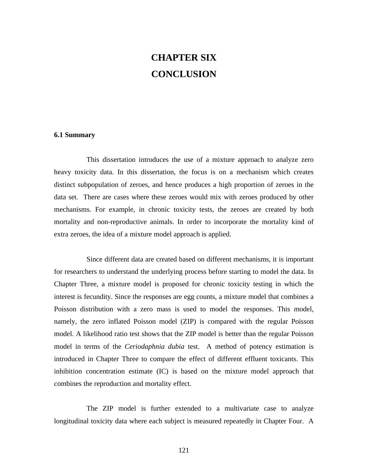## **CHAPTER SIX CONCLUSION**

## **6.1 Summary**

This dissertation introduces the use of a mixture approach to analyze zero heavy toxicity data. In this dissertation, the focus is on a mechanism which creates distinct subpopulation of zeroes, and hence produces a high proportion of zeroes in the data set. There are cases where these zeroes would mix with zeroes produced by other mechanisms. For example, in chronic toxicity tests, the zeroes are created by both mortality and non-reproductive animals. In order to incorporate the mortality kind of extra zeroes, the idea of a mixture model approach is applied.

Since different data are created based on different mechanisms, it is important for researchers to understand the underlying process before starting to model the data. In Chapter Three, a mixture model is proposed for chronic toxicity testing in which the interest is fecundity. Since the responses are egg counts, a mixture model that combines a Poisson distribution with a zero mass is used to model the responses. This model, namely, the zero inflated Poisson model (ZIP) is compared with the regular Poisson model. A likelihood ratio test shows that the ZIP model is better than the regular Poisson model in terms of the *Ceriodaphnia dubia* test. A method of potency estimation is introduced in Chapter Three to compare the effect of different effluent toxicants. This inhibition concentration estimate (IC) is based on the mixture model approach that combines the reproduction and mortality effect.

The ZIP model is further extended to a multivariate case to analyze longitudinal toxicity data where each subject is measured repeatedly in Chapter Four. A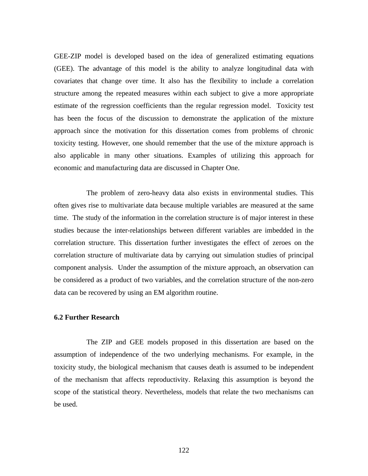GEE-ZIP model is developed based on the idea of generalized estimating equations (GEE). The advantage of this model is the ability to analyze longitudinal data with covariates that change over time. It also has the flexibility to include a correlation structure among the repeated measures within each subject to give a more appropriate estimate of the regression coefficients than the regular regression model. Toxicity test has been the focus of the discussion to demonstrate the application of the mixture approach since the motivation for this dissertation comes from problems of chronic toxicity testing. However, one should remember that the use of the mixture approach is also applicable in many other situations. Examples of utilizing this approach for economic and manufacturing data are discussed in Chapter One.

The problem of zero-heavy data also exists in environmental studies. This often gives rise to multivariate data because multiple variables are measured at the same time. The study of the information in the correlation structure is of major interest in these studies because the inter-relationships between different variables are imbedded in the correlation structure. This dissertation further investigates the effect of zeroes on the correlation structure of multivariate data by carrying out simulation studies of principal component analysis. Under the assumption of the mixture approach, an observation can be considered as a product of two variables, and the correlation structure of the non-zero data can be recovered by using an EM algorithm routine.

## **6.2 Further Research**

The ZIP and GEE models proposed in this dissertation are based on the assumption of independence of the two underlying mechanisms. For example, in the toxicity study, the biological mechanism that causes death is assumed to be independent of the mechanism that affects reproductivity. Relaxing this assumption is beyond the scope of the statistical theory. Nevertheless, models that relate the two mechanisms can be used.